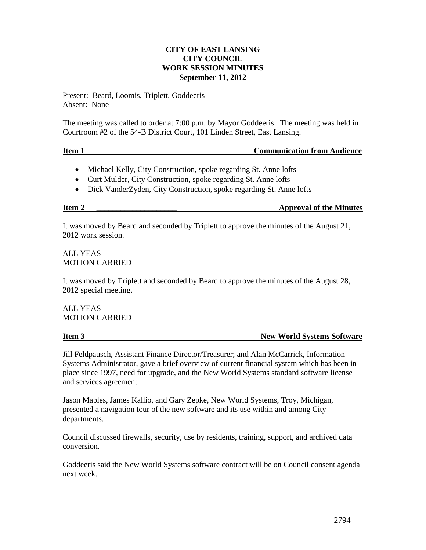# **CITY OF EAST LANSING CITY COUNCIL WORK SESSION MINUTES September 11, 2012**

Present: Beard, Loomis, Triplett, Goddeeris Absent: None

The meeting was called to order at 7:00 p.m. by Mayor Goddeeris. The meeting was held in Courtroom #2 of the 54-B District Court, 101 Linden Street, East Lansing.

## **Item 1\_\_\_\_\_\_\_\_\_\_\_\_\_\_\_\_\_\_\_\_\_\_\_\_\_\_\_\_\_ Communication from Audience**

- Michael Kelly, City Construction, spoke regarding St. Anne lofts
- Curt Mulder, City Construction, spoke regarding St. Anne lofts
- Dick VanderZyden, City Construction, spoke regarding St. Anne lofts

**Item 2 \_\_\_\_\_\_\_\_\_\_\_\_\_\_\_\_\_\_\_\_ Approval of the Minutes**

It was moved by Beard and seconded by Triplett to approve the minutes of the August 21, 2012 work session.

ALL YEAS MOTION CARRIED

It was moved by Triplett and seconded by Beard to approve the minutes of the August 28, 2012 special meeting.

ALL YEAS MOTION CARRIED

**Item 3** New World Systems Software

Jill Feldpausch, Assistant Finance Director/Treasurer; and Alan McCarrick, Information Systems Administrator, gave a brief overview of current financial system which has been in place since 1997, need for upgrade, and the New World Systems standard software license and services agreement.

Jason Maples, James Kallio, and Gary Zepke, New World Systems, Troy, Michigan, presented a navigation tour of the new software and its use within and among City departments.

Council discussed firewalls, security, use by residents, training, support, and archived data conversion.

Goddeeris said the New World Systems software contract will be on Council consent agenda next week.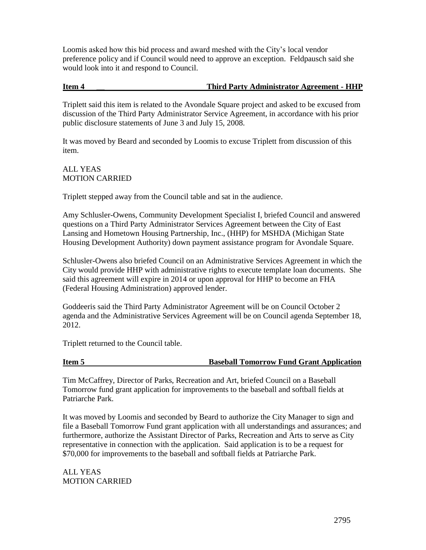Loomis asked how this bid process and award meshed with the City's local vendor preference policy and if Council would need to approve an exception. Feldpausch said she would look into it and respond to Council.

# **Item 4 \_\_ Third Party Administrator Agreement - HHP**

Triplett said this item is related to the Avondale Square project and asked to be excused from discussion of the Third Party Administrator Service Agreement, in accordance with his prior public disclosure statements of June 3 and July 15, 2008.

It was moved by Beard and seconded by Loomis to excuse Triplett from discussion of this item.

ALL YEAS MOTION CARRIED

Triplett stepped away from the Council table and sat in the audience.

Amy Schlusler-Owens, Community Development Specialist I, briefed Council and answered questions on a Third Party Administrator Services Agreement between the City of East Lansing and Hometown Housing Partnership, Inc., (HHP) for MSHDA (Michigan State Housing Development Authority) down payment assistance program for Avondale Square.

Schlusler-Owens also briefed Council on an Administrative Services Agreement in which the City would provide HHP with administrative rights to execute template loan documents. She said this agreement will expire in 2014 or upon approval for HHP to become an FHA (Federal Housing Administration) approved lender.

Goddeeris said the Third Party Administrator Agreement will be on Council October 2 agenda and the Administrative Services Agreement will be on Council agenda September 18, 2012.

Triplett returned to the Council table.

## **Item 5 Baseball Tomorrow Fund Grant Application**

Tim McCaffrey, Director of Parks, Recreation and Art, briefed Council on a Baseball Tomorrow fund grant application for improvements to the baseball and softball fields at Patriarche Park.

It was moved by Loomis and seconded by Beard to authorize the City Manager to sign and file a Baseball Tomorrow Fund grant application with all understandings and assurances; and furthermore, authorize the Assistant Director of Parks, Recreation and Arts to serve as City representative in connection with the application. Said application is to be a request for \$70,000 for improvements to the baseball and softball fields at Patriarche Park.

ALL YEAS MOTION CARRIED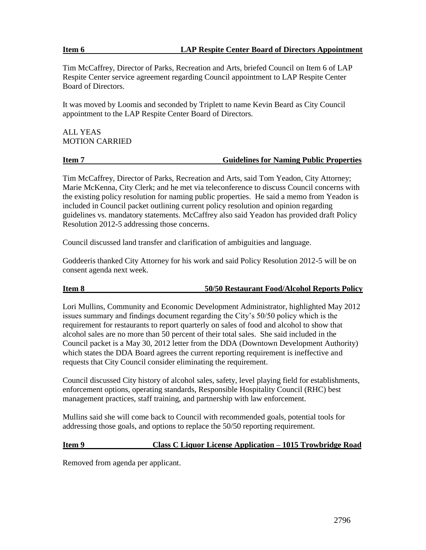## **Item 6 LAP Respite Center Board of Directors Appointment**

Tim McCaffrey, Director of Parks, Recreation and Arts, briefed Council on Item 6 of LAP Respite Center service agreement regarding Council appointment to LAP Respite Center Board of Directors.

It was moved by Loomis and seconded by Triplett to name Kevin Beard as City Council appointment to the LAP Respite Center Board of Directors.

ALL YEAS MOTION CARRIED

## **Item 7 Guidelines for Naming Public Properties**

Tim McCaffrey, Director of Parks, Recreation and Arts, said Tom Yeadon, City Attorney; Marie McKenna, City Clerk; and he met via teleconference to discuss Council concerns with the existing policy resolution for naming public properties. He said a memo from Yeadon is included in Council packet outlining current policy resolution and opinion regarding guidelines vs. mandatory statements. McCaffrey also said Yeadon has provided draft Policy Resolution 2012-5 addressing those concerns.

Council discussed land transfer and clarification of ambiguities and language.

Goddeeris thanked City Attorney for his work and said Policy Resolution 2012-5 will be on consent agenda next week.

# **Item 8 50/50 Restaurant Food/Alcohol Reports Policy**

Lori Mullins, Community and Economic Development Administrator, highlighted May 2012 issues summary and findings document regarding the City's 50/50 policy which is the requirement for restaurants to report quarterly on sales of food and alcohol to show that alcohol sales are no more than 50 percent of their total sales. She said included in the Council packet is a May 30, 2012 letter from the DDA (Downtown Development Authority) which states the DDA Board agrees the current reporting requirement is ineffective and requests that City Council consider eliminating the requirement.

Council discussed City history of alcohol sales, safety, level playing field for establishments, enforcement options, operating standards, Responsible Hospitality Council (RHC) best management practices, staff training, and partnership with law enforcement.

Mullins said she will come back to Council with recommended goals, potential tools for addressing those goals, and options to replace the 50/50 reporting requirement.

# **Item 9 Class C Liquor License Application – 1015 Trowbridge Road**

Removed from agenda per applicant.

2796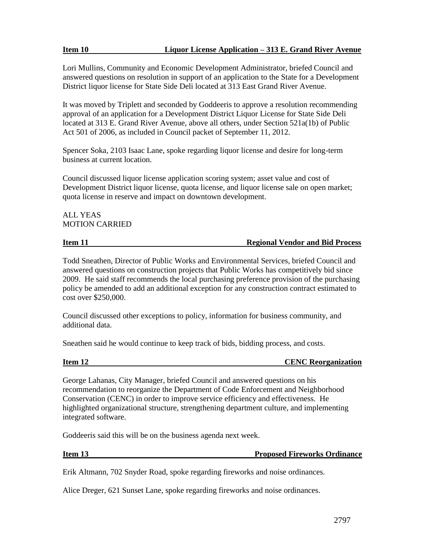# **Item 10 Liquor License Application – 313 E. Grand River Avenue**

Lori Mullins, Community and Economic Development Administrator, briefed Council and answered questions on resolution in support of an application to the State for a Development District liquor license for State Side Deli located at 313 East Grand River Avenue.

It was moved by Triplett and seconded by Goddeeris to approve a resolution recommending approval of an application for a Development District Liquor License for State Side Deli located at 313 E. Grand River Avenue, above all others, under Section 521a(1b) of Public Act 501 of 2006, as included in Council packet of September 11, 2012.

Spencer Soka, 2103 Isaac Lane, spoke regarding liquor license and desire for long-term business at current location.

Council discussed liquor license application scoring system; asset value and cost of Development District liquor license, quota license, and liquor license sale on open market; quota license in reserve and impact on downtown development.

# ALL YEAS MOTION CARRIED

# **Item 11 In the Industry Constraints Except Regional Vendor and Bid Process**

Todd Sneathen, Director of Public Works and Environmental Services, briefed Council and answered questions on construction projects that Public Works has competitively bid since 2009. He said staff recommends the local purchasing preference provision of the purchasing policy be amended to add an additional exception for any construction contract estimated to cost over \$250,000.

Council discussed other exceptions to policy, information for business community, and additional data.

Sneathen said he would continue to keep track of bids, bidding process, and costs.

**CENC Reorganization** 

George Lahanas, City Manager, briefed Council and answered questions on his recommendation to reorganize the Department of Code Enforcement and Neighborhood Conservation (CENC) in order to improve service efficiency and effectiveness. He highlighted organizational structure, strengthening department culture, and implementing integrated software.

Goddeeris said this will be on the business agenda next week.

# **Item 13** Proposed Fireworks Ordinance

Erik Altmann, 702 Snyder Road, spoke regarding fireworks and noise ordinances.

Alice Dreger, 621 Sunset Lane, spoke regarding fireworks and noise ordinances.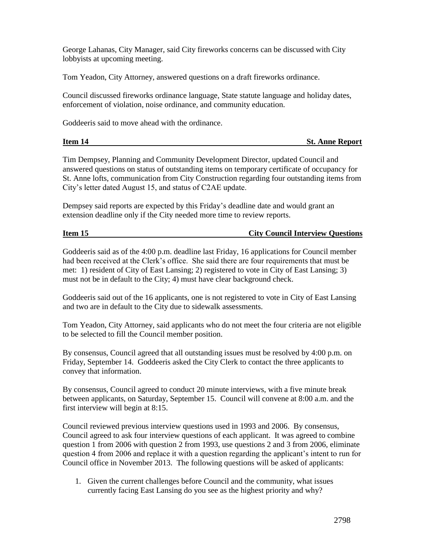George Lahanas, City Manager, said City fireworks concerns can be discussed with City lobbyists at upcoming meeting.

Tom Yeadon, City Attorney, answered questions on a draft fireworks ordinance.

Council discussed fireworks ordinance language, State statute language and holiday dates, enforcement of violation, noise ordinance, and community education.

Goddeeris said to move ahead with the ordinance.

| Item 14 | <b>St. Anne Report</b> |
|---------|------------------------|
|         |                        |

Tim Dempsey, Planning and Community Development Director, updated Council and answered questions on status of outstanding items on temporary certificate of occupancy for St. Anne lofts, communication from City Construction regarding four outstanding items from City's letter dated August 15, and status of C2AE update.

Dempsey said reports are expected by this Friday's deadline date and would grant an extension deadline only if the City needed more time to review reports.

## **Item 15 City Council Interview Ouestions**

Goddeeris said as of the 4:00 p.m. deadline last Friday, 16 applications for Council member had been received at the Clerk's office. She said there are four requirements that must be met: 1) resident of City of East Lansing; 2) registered to vote in City of East Lansing; 3) must not be in default to the City; 4) must have clear background check.

Goddeeris said out of the 16 applicants, one is not registered to vote in City of East Lansing and two are in default to the City due to sidewalk assessments.

Tom Yeadon, City Attorney, said applicants who do not meet the four criteria are not eligible to be selected to fill the Council member position.

By consensus, Council agreed that all outstanding issues must be resolved by 4:00 p.m. on Friday, September 14. Goddeeris asked the City Clerk to contact the three applicants to convey that information.

By consensus, Council agreed to conduct 20 minute interviews, with a five minute break between applicants, on Saturday, September 15. Council will convene at 8:00 a.m. and the first interview will begin at 8:15.

Council reviewed previous interview questions used in 1993 and 2006. By consensus, Council agreed to ask four interview questions of each applicant. It was agreed to combine question 1 from 2006 with question 2 from 1993, use questions 2 and 3 from 2006, eliminate question 4 from 2006 and replace it with a question regarding the applicant's intent to run for Council office in November 2013. The following questions will be asked of applicants:

1. Given the current challenges before Council and the community, what issues currently facing East Lansing do you see as the highest priority and why?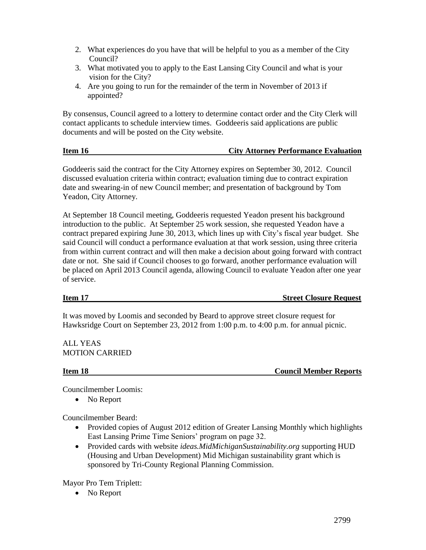- 3. What motivated you to apply to the East Lansing City Council and what is your vision for the City?
- 4. Are you going to run for the remainder of the term in November of 2013 if appointed?

By consensus, Council agreed to a lottery to determine contact order and the City Clerk will contact applicants to schedule interview times. Goddeeris said applications are public documents and will be posted on the City website.

# **Item 16 City Attorney Performance Evaluation**

Goddeeris said the contract for the City Attorney expires on September 30, 2012. Council discussed evaluation criteria within contract; evaluation timing due to contract expiration date and swearing-in of new Council member; and presentation of background by Tom Yeadon, City Attorney.

At September 18 Council meeting, Goddeeris requested Yeadon present his background introduction to the public. At September 25 work session, she requested Yeadon have a contract prepared expiring June 30, 2013, which lines up with City's fiscal year budget. She said Council will conduct a performance evaluation at that work session, using three criteria from within current contract and will then make a decision about going forward with contract date or not. She said if Council chooses to go forward, another performance evaluation will be placed on April 2013 Council agenda, allowing Council to evaluate Yeadon after one year of service.

**Item 17** Street Closure Request

It was moved by Loomis and seconded by Beard to approve street closure request for Hawksridge Court on September 23, 2012 from 1:00 p.m. to 4:00 p.m. for annual picnic.

ALL YEAS MOTION CARRIED

**Item 18** Council Member Reports

Councilmember Loomis:

• No Report

Councilmember Beard:

- Provided copies of August 2012 edition of Greater Lansing Monthly which highlights East Lansing Prime Time Seniors' program on page 32.
- Provided cards with website *ideas.MidMichiganSustainability.org* supporting HUD (Housing and Urban Development) Mid Michigan sustainability grant which is sponsored by Tri-County Regional Planning Commission.

Mayor Pro Tem Triplett:

• No Report